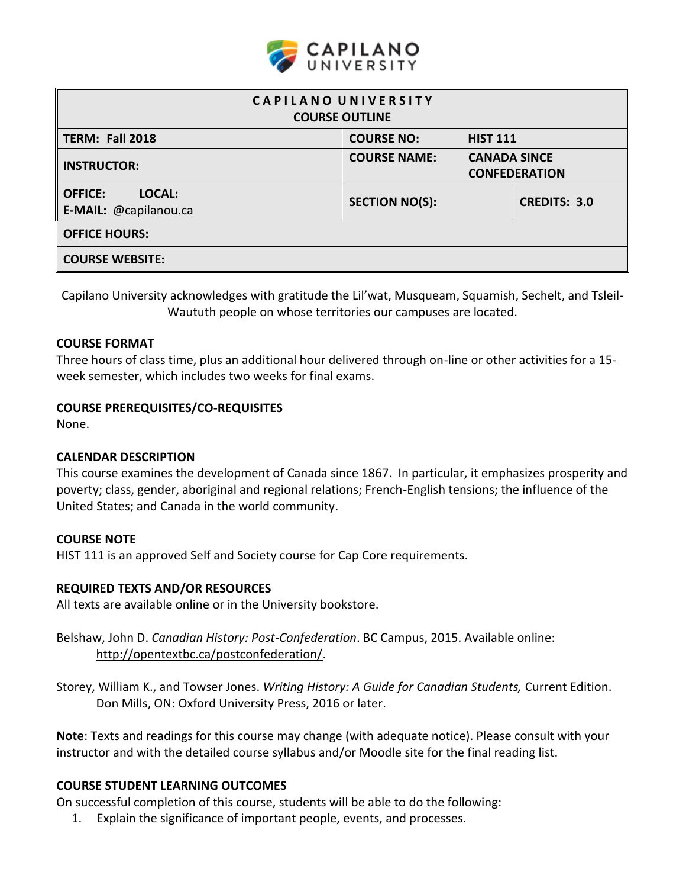

| CAPILANO UNIVERSITY<br><b>COURSE OUTLINE</b>      |                       |                     |                      |  |  |  |
|---------------------------------------------------|-----------------------|---------------------|----------------------|--|--|--|
| <b>TERM: Fall 2018</b>                            | <b>COURSE NO:</b>     | <b>HIST 111</b>     |                      |  |  |  |
| <b>INSTRUCTOR:</b>                                | <b>COURSE NAME:</b>   | <b>CANADA SINCE</b> | <b>CONFEDERATION</b> |  |  |  |
| LOCAL:<br><b>OFFICE:</b><br>E-MAIL: @capilanou.ca | <b>SECTION NO(S):</b> |                     | <b>CREDITS: 3.0</b>  |  |  |  |
| <b>OFFICE HOURS:</b>                              |                       |                     |                      |  |  |  |
| <b>COURSE WEBSITE:</b>                            |                       |                     |                      |  |  |  |

Capilano University acknowledges with gratitude the Lil'wat, Musqueam, Squamish, Sechelt, and Tsleil-Waututh people on whose territories our campuses are located.

### **COURSE FORMAT**

Three hours of class time, plus an additional hour delivered through on-line or other activities for a 15 week semester, which includes two weeks for final exams.

## **COURSE PREREQUISITES/CO-REQUISITES**

None.

#### **CALENDAR DESCRIPTION**

This course examines the development of Canada since 1867. In particular, it emphasizes prosperity and poverty; class, gender, aboriginal and regional relations; French-English tensions; the influence of the United States; and Canada in the world community.

#### **COURSE NOTE**

HIST 111 is an approved Self and Society course for Cap Core requirements.

#### **REQUIRED TEXTS AND/OR RESOURCES**

All texts are available online or in the University bookstore.

- Belshaw, John D. *Canadian History: Post-Confederation*. BC Campus, 2015. Available online: [http://opentextbc.ca/postconfederation/.](http://opentextbc.ca/preconfederation/)
- Storey, William K., and Towser Jones. *Writing History: A Guide for Canadian Students,* Current Edition. Don Mills, ON: Oxford University Press, 2016 or later.

**Note**: Texts and readings for this course may change (with adequate notice). Please consult with your instructor and with the detailed course syllabus and/or Moodle site for the final reading list.

## **COURSE STUDENT LEARNING OUTCOMES**

On successful completion of this course, students will be able to do the following:

1. Explain the significance of important people, events, and processes.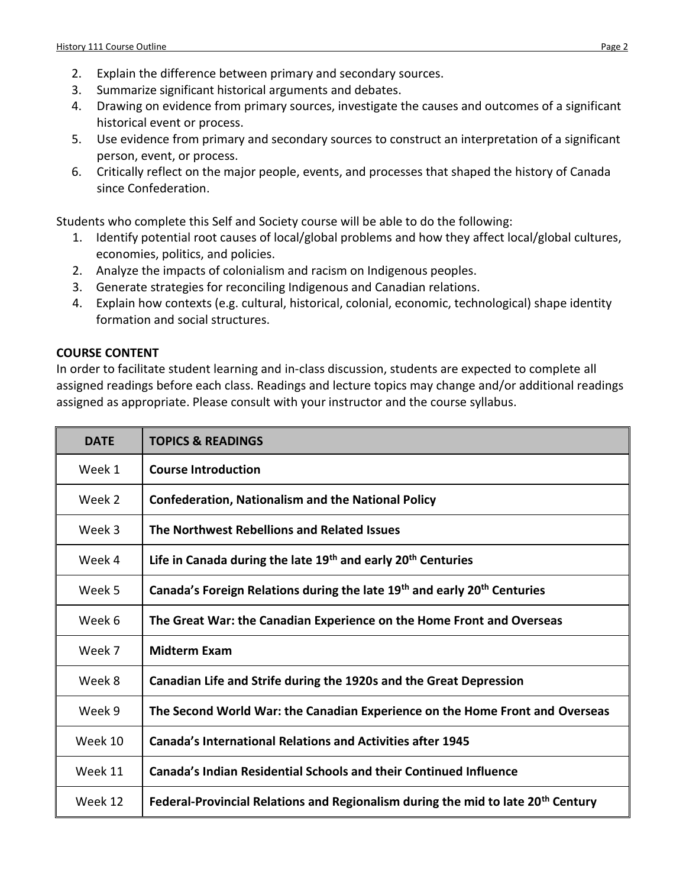- 2. Explain the difference between primary and secondary sources.
- 3. Summarize significant historical arguments and debates.
- 4. Drawing on evidence from primary sources, investigate the causes and outcomes of a significant historical event or process.
- 5. Use evidence from primary and secondary sources to construct an interpretation of a significant person, event, or process.
- 6. Critically reflect on the major people, events, and processes that shaped the history of Canada since Confederation.

Students who complete this Self and Society course will be able to do the following:

- 1. Identify potential root causes of local/global problems and how they affect local/global cultures, economies, politics, and policies.
- 2. Analyze the impacts of colonialism and racism on Indigenous peoples.
- 3. Generate strategies for reconciling Indigenous and Canadian relations.
- 4. Explain how contexts (e.g. cultural, historical, colonial, economic, technological) shape identity formation and social structures.

## **COURSE CONTENT**

In order to facilitate student learning and in-class discussion, students are expected to complete all assigned readings before each class. Readings and lecture topics may change and/or additional readings assigned as appropriate. Please consult with your instructor and the course syllabus.

| <b>DATE</b> | <b>TOPICS &amp; READINGS</b>                                                                 |
|-------------|----------------------------------------------------------------------------------------------|
| Week 1      | <b>Course Introduction</b>                                                                   |
| Week 2      | <b>Confederation, Nationalism and the National Policy</b>                                    |
| Week 3      | The Northwest Rebellions and Related Issues                                                  |
| Week 4      | Life in Canada during the late 19 <sup>th</sup> and early 20 <sup>th</sup> Centuries         |
| Week 5      | Canada's Foreign Relations during the late 19th and early 20th Centuries                     |
| Week 6      | The Great War: the Canadian Experience on the Home Front and Overseas                        |
| Week 7      | <b>Midterm Exam</b>                                                                          |
| Week 8      | Canadian Life and Strife during the 1920s and the Great Depression                           |
| Week 9      | The Second World War: the Canadian Experience on the Home Front and Overseas                 |
| Week 10     | <b>Canada's International Relations and Activities after 1945</b>                            |
| Week 11     | <b>Canada's Indian Residential Schools and their Continued Influence</b>                     |
| Week 12     | Federal-Provincial Relations and Regionalism during the mid to late 20 <sup>th</sup> Century |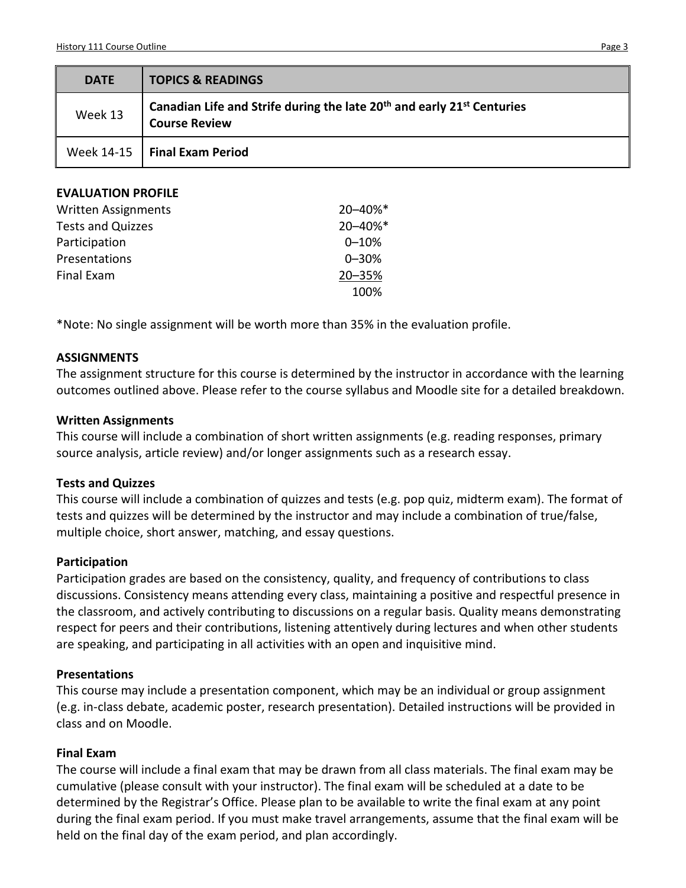| <b>DATE</b> | <b>TOPICS &amp; READINGS</b>                                                                                           |
|-------------|------------------------------------------------------------------------------------------------------------------------|
| Week 13     | Canadian Life and Strife during the late 20 <sup>th</sup> and early 21 <sup>st</sup> Centuries<br><b>Course Review</b> |
|             | Week 14-15   Final Exam Period                                                                                         |
|             |                                                                                                                        |

### **EVALUATION PROFILE**

| <b>Written Assignments</b> | 20-40%*   |
|----------------------------|-----------|
| <b>Tests and Quizzes</b>   | 20-40%*   |
| Participation              | $0 - 10%$ |
| Presentations              | $0 - 30%$ |
| Final Exam                 | 20-35%    |
|                            | 100%      |

\*Note: No single assignment will be worth more than 35% in the evaluation profile.

#### **ASSIGNMENTS**

The assignment structure for this course is determined by the instructor in accordance with the learning outcomes outlined above. Please refer to the course syllabus and Moodle site for a detailed breakdown.

### **Written Assignments**

This course will include a combination of short written assignments (e.g. reading responses, primary source analysis, article review) and/or longer assignments such as a research essay.

#### **Tests and Quizzes**

This course will include a combination of quizzes and tests (e.g. pop quiz, midterm exam). The format of tests and quizzes will be determined by the instructor and may include a combination of true/false, multiple choice, short answer, matching, and essay questions.

#### **Participation**

Participation grades are based on the consistency, quality, and frequency of contributions to class discussions. Consistency means attending every class, maintaining a positive and respectful presence in the classroom, and actively contributing to discussions on a regular basis. Quality means demonstrating respect for peers and their contributions, listening attentively during lectures and when other students are speaking, and participating in all activities with an open and inquisitive mind.

## **Presentations**

This course may include a presentation component, which may be an individual or group assignment (e.g. in-class debate, academic poster, research presentation). Detailed instructions will be provided in class and on Moodle.

## **Final Exam**

The course will include a final exam that may be drawn from all class materials. The final exam may be cumulative (please consult with your instructor). The final exam will be scheduled at a date to be determined by the Registrar's Office. Please plan to be available to write the final exam at any point during the final exam period. If you must make travel arrangements, assume that the final exam will be held on the final day of the exam period, and plan accordingly.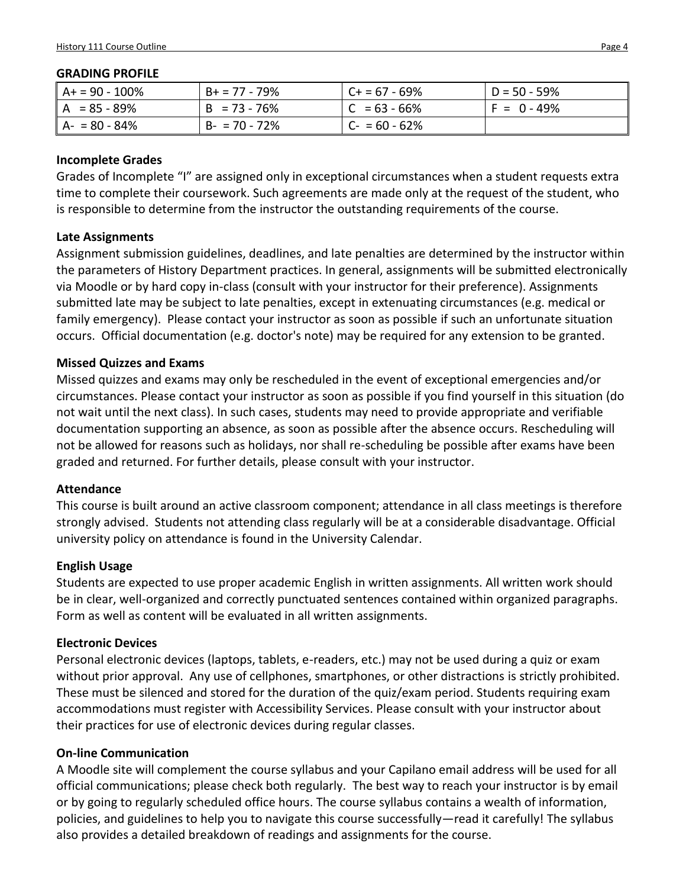#### **GRADING PROFILE**

| $AA = 90 - 100\%$ | $B+ = 77 - 79\%$ | $C + 57 - 69%$   | D = 50 - 59%  |
|-------------------|------------------|------------------|---------------|
| $A = 85 - 89%$    | $B = 73 - 76%$   | $ C = 63 - 66\%$ | $F = 0 - 49%$ |
| $A - 80 - 84%$    | $B - 70 - 72%$   | $C - 60 - 62%$   |               |

### **Incomplete Grades**

Grades of Incomplete "I" are assigned only in exceptional circumstances when a student requests extra time to complete their coursework. Such agreements are made only at the request of the student, who is responsible to determine from the instructor the outstanding requirements of the course.

## **Late Assignments**

Assignment submission guidelines, deadlines, and late penalties are determined by the instructor within the parameters of History Department practices. In general, assignments will be submitted electronically via Moodle or by hard copy in-class (consult with your instructor for their preference). Assignments submitted late may be subject to late penalties, except in extenuating circumstances (e.g. medical or family emergency). Please contact your instructor as soon as possible if such an unfortunate situation occurs. Official documentation (e.g. doctor's note) may be required for any extension to be granted.

### **Missed Quizzes and Exams**

Missed quizzes and exams may only be rescheduled in the event of exceptional emergencies and/or circumstances. Please contact your instructor as soon as possible if you find yourself in this situation (do not wait until the next class). In such cases, students may need to provide appropriate and verifiable documentation supporting an absence, as soon as possible after the absence occurs. Rescheduling will not be allowed for reasons such as holidays, nor shall re-scheduling be possible after exams have been graded and returned. For further details, please consult with your instructor.

#### **Attendance**

This course is built around an active classroom component; attendance in all class meetings is therefore strongly advised. Students not attending class regularly will be at a considerable disadvantage. Official university policy on attendance is found in the University Calendar.

## **English Usage**

Students are expected to use proper academic English in written assignments. All written work should be in clear, well-organized and correctly punctuated sentences contained within organized paragraphs. Form as well as content will be evaluated in all written assignments.

## **Electronic Devices**

Personal electronic devices (laptops, tablets, e-readers, etc.) may not be used during a quiz or exam without prior approval. Any use of cellphones, smartphones, or other distractions is strictly prohibited. These must be silenced and stored for the duration of the quiz/exam period. Students requiring exam accommodations must register with Accessibility Services. Please consult with your instructor about their practices for use of electronic devices during regular classes.

## **On-line Communication**

A Moodle site will complement the course syllabus and your Capilano email address will be used for all official communications; please check both regularly. The best way to reach your instructor is by email or by going to regularly scheduled office hours. The course syllabus contains a wealth of information, policies, and guidelines to help you to navigate this course successfully—read it carefully! The syllabus also provides a detailed breakdown of readings and assignments for the course.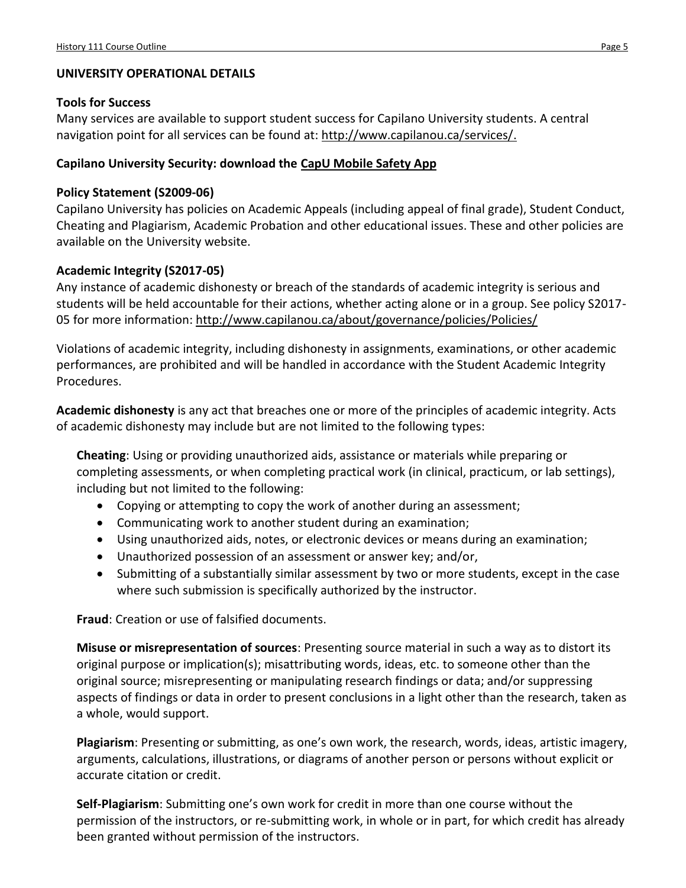## **UNIVERSITY OPERATIONAL DETAILS**

## **Tools for Success**

Many services are available to support student success for Capilano University students. A central navigation point for all services can be found at: [http://www.capilanou.ca/services/.](http://www.capilanou.ca/services/)

# **Capilano University Security: download the [CapU Mobile Safety App](https://www.capilanou.ca/services/safety-security/CapU-Mobile-Safety-App/)**

## **Policy Statement (S2009-06)**

Capilano University has policies on Academic Appeals (including appeal of final grade), Student Conduct, Cheating and Plagiarism, Academic Probation and other educational issues. These and other policies are available on the University website.

## **Academic Integrity (S2017-05)**

Any instance of academic dishonesty or breach of the standards of academic integrity is serious and students will be held accountable for their actions, whether acting alone or in a group. See policy S2017 05 for more information:<http://www.capilanou.ca/about/governance/policies/Policies/>

Violations of academic integrity, including dishonesty in assignments, examinations, or other academic performances, are prohibited and will be handled in accordance with the Student Academic Integrity Procedures.

**Academic dishonesty** is any act that breaches one or more of the principles of academic integrity. Acts of academic dishonesty may include but are not limited to the following types:

**Cheating**: Using or providing unauthorized aids, assistance or materials while preparing or completing assessments, or when completing practical work (in clinical, practicum, or lab settings), including but not limited to the following:

- Copying or attempting to copy the work of another during an assessment;
- Communicating work to another student during an examination;
- Using unauthorized aids, notes, or electronic devices or means during an examination;
- Unauthorized possession of an assessment or answer key; and/or,
- Submitting of a substantially similar assessment by two or more students, except in the case where such submission is specifically authorized by the instructor.

**Fraud**: Creation or use of falsified documents.

**Misuse or misrepresentation of sources**: Presenting source material in such a way as to distort its original purpose or implication(s); misattributing words, ideas, etc. to someone other than the original source; misrepresenting or manipulating research findings or data; and/or suppressing aspects of findings or data in order to present conclusions in a light other than the research, taken as a whole, would support.

**Plagiarism**: Presenting or submitting, as one's own work, the research, words, ideas, artistic imagery, arguments, calculations, illustrations, or diagrams of another person or persons without explicit or accurate citation or credit.

**Self-Plagiarism**: Submitting one's own work for credit in more than one course without the permission of the instructors, or re-submitting work, in whole or in part, for which credit has already been granted without permission of the instructors.